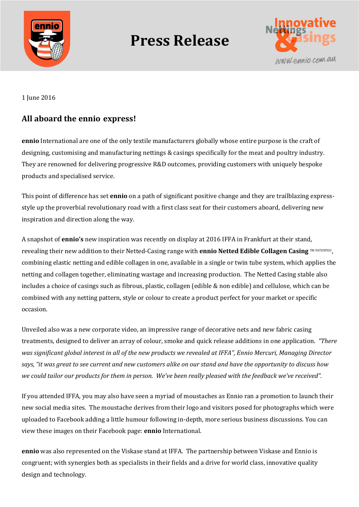

## **Press Release**



1 June 2016

## **All aboard the ennio express!**

**ennio** International are one of the only textile manufacturers globally whose entire purpose is the craft of designing, customising and manufacturing nettings & casings specifically for the meat and poultry industry. They are renowned for delivering progressive R&D outcomes, providing customers with uniquely bespoke products and specialised service.

This point of difference has set **ennio** on a path of significant positive change and they are trailblazing expressstyle up the proverbial revolutionary road with a first class seat for their customers aboard, delivering new inspiration and direction along the way.

A snapshot of **ennio's** new inspiration was recently on display at 2016 IFFA in Frankfurt at their stand, revealing their new addition to their Netted-Casing range with **ennio Netted Edible Collagen Casing** TM PATENTED , combining elastic netting and edible collagen in one, available in a single or twin tube system, which applies the netting and collagen together, eliminating wastage and increasing production. The Netted Casing stable also includes a choice of casings such as fibrous, plastic, collagen (edible & non edible) and cellulose, which can be combined with any netting pattern, style or colour to create a product perfect for your market or specific occasion.

Unveiled also was a new corporate video, an impressive range of decorative nets and new fabric casing treatments, designed to deliver an array of colour, smoke and quick release additions in one application. *"There was significant global interest in all of the new products we revealed at IFFA", Ennio Mercuri, Managing Director says, "it was great to see current and new customers alike on our stand and have the opportunity to discuss how we could tailor our products for them in person. We've been really pleased with the feedback we've received".*

If you attended IFFA, you may also have seen a myriad of moustaches as Ennio ran a promotion to launch their new social media sites. The moustache derives from their logo and visitors posed for photographs which were uploaded to Facebook adding a little humour following in-depth, more serious business discussions. You can view these images on their Facebook page: **ennio** International.

**ennio** was also represented on the Viskase stand at IFFA. The partnership between Viskase and Ennio is congruent; with synergies both as specialists in their fields and a drive for world class, innovative quality design and technology.